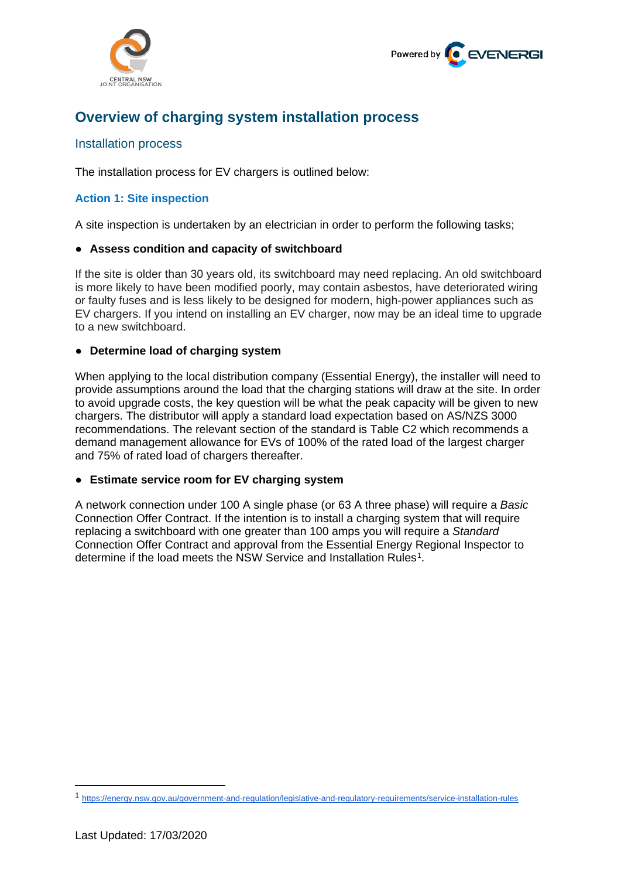



# **Overview of charging system installation process**

# Installation process

The installation process for EV chargers is outlined below:

# **Action 1: Site inspection**

A site inspection is undertaken by an electrician in order to perform the following tasks;

#### ● **Assess condition and capacity of switchboard**

If the site is older than 30 years old, its switchboard may need replacing. An old switchboard is more likely to have been modified poorly, may contain asbestos, have deteriorated wiring or faulty fuses and is less likely to be designed for modern, high-power appliances such as EV chargers. If you intend on installing an EV charger, now may be an ideal time to upgrade to a new switchboard.

#### ● **Determine load of charging system**

When applying to the local distribution company (Essential Energy), the installer will need to provide assumptions around the load that the charging stations will draw at the site. In order to avoid upgrade costs, the key question will be what the peak capacity will be given to new chargers. The distributor will apply a standard load expectation based on AS/NZS 3000 recommendations. The relevant section of the standard is Table C2 which recommends a demand management allowance for EVs of 100% of the rated load of the largest charger and 75% of rated load of chargers thereafter.

#### ● **Estimate service room for EV charging system**

A network connection under 100 A single phase (or 63 A three phase) will require a *Basic* Connection Offer Contract. If the intention is to install a charging system that will require replacing a switchboard with one greater than 100 amps you will require a *Standard* Connection Offer Contract and approval from the Essential Energy Regional Inspector to determine if the load meets the NSW Service and Installation Rules<sup>[1](#page-0-0)</sup>.

<span id="page-0-0"></span><sup>1</sup> <https://energy.nsw.gov.au/government-and-regulation/legislative-and-regulatory-requirements/service-installation-rules>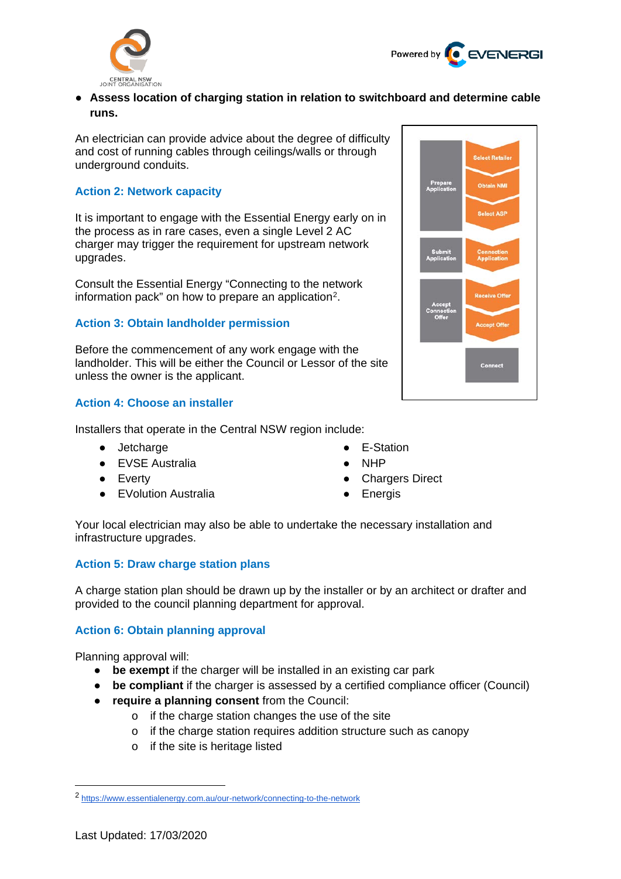



● **Assess location of charging station in relation to switchboard and determine cable runs.**

An electrician can provide advice about the degree of difficulty and cost of running cables through ceilings/walls or through underground conduits.

# **Action 2: Network capacity**

It is important to engage with the Essential Energy early on in the process as in rare cases, even a single Level 2 AC charger may trigger the requirement for upstream network upgrades.

Consult the Essential Energy "Connecting to the network information pack" on how to prepare an application[2](#page-1-0).

#### **Action 3: Obtain landholder permission**

Before the commencement of any work engage with the landholder. This will be either the Council or Lessor of the site unless the owner is the applicant.

#### **Action 4: Choose an installer**

Installers that operate in the Central NSW region include:

- Jetcharge
- EVSE Australia
- Everty
- EVolution Australia
- E-Station
- **NHP**
- Chargers Direct
- Energis

Your local electrician may also be able to undertake the necessary installation and infrastructure upgrades.

#### **Action 5: Draw charge station plans**

A charge station plan should be drawn up by the installer or by an architect or drafter and provided to the council planning department for approval.

#### **Action 6: Obtain planning approval**

Planning approval will:

- **be exempt** if the charger will be installed in an existing car park
- **be compliant** if the charger is assessed by a certified compliance officer (Council)
- **require a planning consent** from the Council:
	- o if the charge station changes the use of the site
	- o if the charge station requires addition structure such as canopy
	- o if the site is heritage listed



<span id="page-1-0"></span><sup>2</sup> <https://www.essentialenergy.com.au/our-network/connecting-to-the-network>